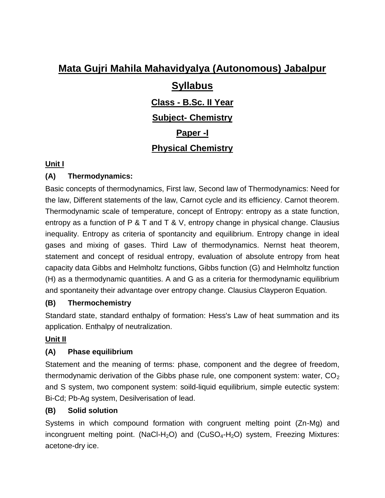# **Syllabus**

**Class - B.Sc. II Year**

### **Subject- Chemistry**

**Paper -I**

# **Physical Chemistry**

#### **Unit I**

#### **(A) Thermodynamics:**

Basic concepts of thermodynamics, First law, Second law of Thermodynamics: Need for the law, Different statements of the law, Carnot cycle and its efficiency. Carnot theorem. Thermodynamic scale of temperature, concept of Entropy: entropy as a state function, entropy as a function of P & T and T & V, entropy change in physical change. Clausius inequality. Entropy as criteria of spontancity and equilibrium. Entropy change in ideal gases and mixing of gases. Third Law of thermodynamics. Nernst heat theorem, statement and concept of residual entropy, evaluation of absolute entropy from heat capacity data Gibbs and Helmholtz functions, Gibbs function (G) and Helmholtz function (H) as a thermodynamic quantities. A and G as a criteria for thermodynamic equilibrium and spontaneity their advantage over entropy change. Clausius Clayperon Equation.

#### **(B) Thermochemistry**

Standard state, standard enthalpy of formation: Hess's Law of heat summation and its application. Enthalpy of neutralization.

### **Unit II**

### **(A) Phase equilibrium**

Statement and the meaning of terms: phase, component and the degree of freedom, thermodynamic derivation of the Gibbs phase rule, one component system: water,  $CO<sub>2</sub>$ and S system, two component system: soild-liquid equilibrium, simple eutectic system: Bi-Cd; Pb-Ag system, Desilverisation of lead.

#### **(B) Solid solution**

Systems in which compound formation with congruent melting point (Zn-Mg) and incongruent melting point. (NaCl-H<sub>2</sub>O) and (CuSO<sub>4</sub>-H<sub>2</sub>O) system, Freezing Mixtures: acetone-dry ice.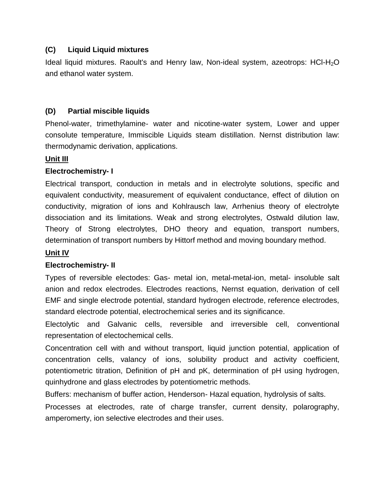#### **(C) Liquid Liquid mixtures**

Ideal liquid mixtures. Raoult's and Henry law, Non-ideal system, azeotrops: HCl-H<sub>2</sub>O and ethanol water system.

#### **(D) Partial miscible liquids**

Phenol-water, trimethylamine- water and nicotine-water system, Lower and upper consolute temperature, Immiscible Liquids steam distillation. Nernst distribution law: thermodynamic derivation, applications.

#### **Unit III**

#### **Electrochemistry- I**

Electrical transport, conduction in metals and in electrolyte solutions, specific and equivalent conductivity, measurement of equivalent conductance, effect of dilution on conductivity, migration of ions and Kohlrausch law, Arrhenius theory of electrolyte dissociation and its limitations. Weak and strong electrolytes, Ostwald dilution law, Theory of Strong electrolytes, DHO theory and equation, transport numbers, determination of transport numbers by Hittorf method and moving boundary method.

#### **Unit IV**

#### **Electrochemistry- II**

Types of reversible electodes: Gas- metal ion, metal-metal-ion, metal- insoluble salt anion and redox electrodes. Electrodes reactions, Nernst equation, derivation of cell EMF and single electrode potential, standard hydrogen electrode, reference electrodes, standard electrode potential, electrochemical series and its significance.

Electolytic and Galvanic cells, reversible and irreversible cell, conventional representation of electochemical cells.

Concentration cell with and without transport, liquid junction potential, application of concentration cells, valancy of ions, solubility product and activity coefficient, potentiometric titration, Definition of pH and pK, determination of pH using hydrogen, quinhydrone and glass electrodes by potentiometric methods.

Buffers: mechanism of buffer action, Henderson- Hazal equation, hydrolysis of salts.

Processes at electrodes, rate of charge transfer, current density, polarography, amperomerty, ion selective electrodes and their uses.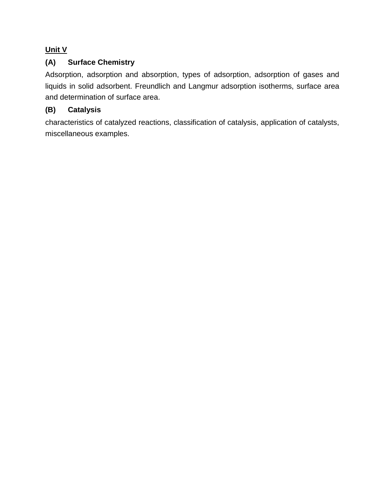## **Unit V**

### **(A) Surface Chemistry**

Adsorption, adsorption and absorption, types of adsorption, adsorption of gases and liquids in solid adsorbent. Freundlich and Langmur adsorption isotherms, surface area and determination of surface area.

### **(B) Catalysis**

characteristics of catalyzed reactions, classification of catalysis, application of catalysts, miscellaneous examples.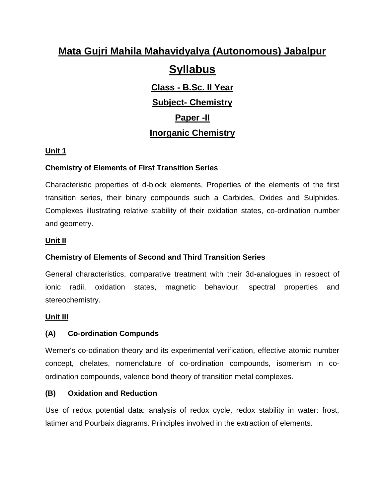# **Syllabus**

**Class - B.Sc. II Year Subject- Chemistry Paper -II Inorganic Chemistry**

#### **Unit 1**

#### **Chemistry of Elements of First Transition Series**

Characteristic properties of d-block elements, Properties of the elements of the first transition series, their binary compounds such a Carbides, Oxides and Sulphides. Complexes illustrating relative stability of their oxidation states, co-ordination number and geometry.

#### **Unit II**

#### **Chemistry of Elements of Second and Third Transition Series**

General characteristics, comparative treatment with their 3d-analogues in respect of ionic radii, oxidation states, magnetic behaviour, spectral properties and stereochemistry.

#### **Unit III**

#### **(A) Co-ordination Compunds**

Werner's co-odination theory and its experimental verification, effective atomic number concept, chelates, nomenclature of co-ordination compounds, isomerism in coordination compounds, valence bond theory of transition metal complexes.

#### **(B) Oxidation and Reduction**

Use of redox potential data: analysis of redox cycle, redox stability in water: frost, latimer and Pourbaix diagrams. Principles involved in the extraction of elements.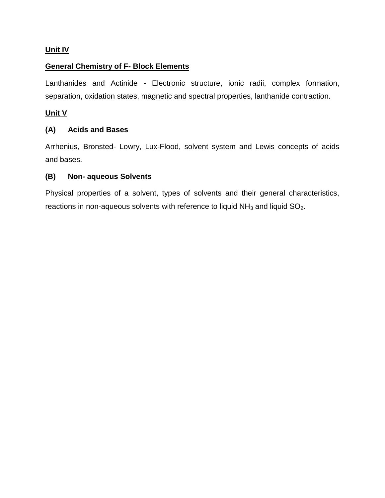#### **Unit IV**

#### **General Chemistry of F- Block Elements**

Lanthanides and Actinide - Electronic structure, ionic radii, complex formation, separation, oxidation states, magnetic and spectral properties, lanthanide contraction.

#### **Unit V**

#### **(A) Acids and Bases**

Arrhenius, Bronsted- Lowry, Lux-Flood, solvent system and Lewis concepts of acids and bases.

#### **(B) Non- aqueous Solvents**

Physical properties of a solvent, types of solvents and their general characteristics, reactions in non-aqueous solvents with reference to liquid  $NH<sub>3</sub>$  and liquid  $SO<sub>2</sub>$ .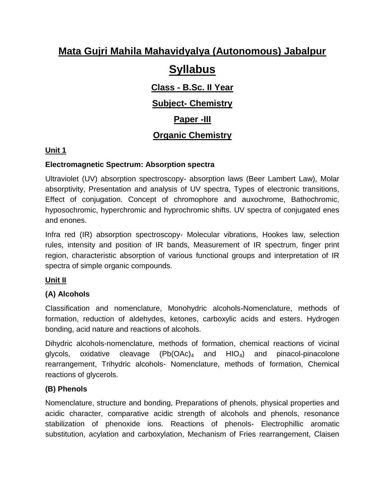# **Syllabus**

**Class - B.Sc. II Year**

# **Subject- Chemistry**

# **Paper -III**

# **Organic Chemistry**

# **Unit 1**

## **Electromagnetic Spectrum: Absorption spectra**

Ultraviolet (UV) absorption spectroscopy- absorption laws (Beer Lambert Law), Molar absorptivity, Presentation and analysis of UV spectra, Types of electronic transitions, Effect of conjugation. Concept of chromophore and auxochrome, Bathochromic, hyposochromic, hyperchromic and hyprochromic shifts. UV spectra of conjugated enes and enones.

Infra red (IR) absorption spectroscopy- Molecular vibrations, Hookes law, selection rules, intensity and position of IR bands, Measurement of IR spectrum, finger print region, characteristic absorption of various functional groups and interpretation of IR spectra of simple organic compounds.

# **Unit II**

# **(A) Alcohols**

Classification and nomenclature, Monohydric alcohols-Nomenclature, methods of formation, reduction of aldehydes, ketones, carboxylic acids and esters. Hydrogen bonding, acid nature and reactions of alcohols.

Dihydric alcohols-nomenclature, methods of formation, chemical reactions of vicinal glycols, oxidative cleavage  $(Pb(OAc)<sub>4</sub>$  and  $HIO<sub>4</sub>)$  and pinacol-pinacolone rearrangement, Trihydric alcohols- Nomenclature, methods of formation, Chemical reactions of glycerols.

### **(B) Phenols**

Nomenclature, structure and bonding, Preparations of phenols, physical properties and acidic character, comparative acidic strength of alcohols and phenols, resonance stabilization of phenoxide ions. Reactions of phenols- Electrophillic aromatic substitution, acylation and carboxylation, Mechanism of Fries rearrangement, Claisen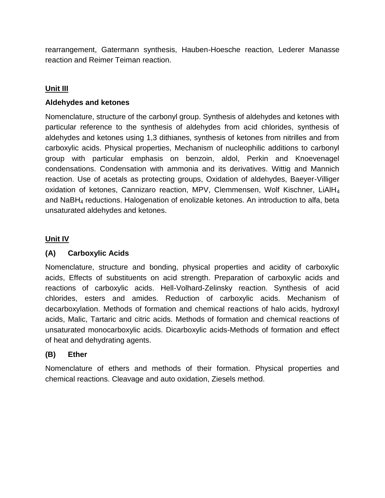rearrangement, Gatermann synthesis, Hauben-Hoesche reaction, Lederer Manasse reaction and Reimer Teiman reaction.

### **Unit III**

#### **Aldehydes and ketones**

Nomenclature, structure of the carbonyl group. Synthesis of aldehydes and ketones with particular reference to the synthesis of aldehydes from acid chlorides, synthesis of aldehydes and ketones using 1,3 dithianes, synthesis of ketones from nitrilles and from carboxylic acids. Physical properties, Mechanism of nucleophilic additions to carbonyl group with particular emphasis on benzoin, aldol, Perkin and Knoevenagel condensations. Condensation with ammonia and its derivatives. Wittig and Mannich reaction. Use of acetals as protecting groups, Oxidation of aldehydes, Baeyer-Villiger oxidation of ketones, Cannizaro reaction, MPV, Clemmensen, Wolf Kischner, LiAlH $_4$ and NaBH<sup>4</sup> reductions. Halogenation of enolizable ketones. An introduction to alfa, beta unsaturated aldehydes and ketones.

#### **Unit IV**

#### **(A) Carboxylic Acids**

Nomenclature, structure and bonding, physical properties and acidity of carboxylic acids, Effects of substituents on acid strength. Preparation of carboxylic acids and reactions of carboxylic acids. Hell-Volhard-Zelinsky reaction. Synthesis of acid chlorides, esters and amides. Reduction of carboxylic acids. Mechanism of decarboxylation. Methods of formation and chemical reactions of halo acids, hydroxyl acids, Malic, Tartaric and citric acids. Methods of formation and chemical reactions of unsaturated monocarboxylic acids. Dicarboxylic acids-Methods of formation and effect of heat and dehydrating agents.

#### **(B) Ether**

Nomenclature of ethers and methods of their formation. Physical properties and chemical reactions. Cleavage and auto oxidation, Ziesels method.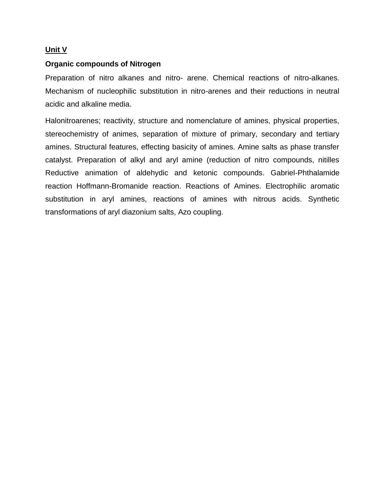#### **Unit V**

#### **Organic compounds of Nitrogen**

Preparation of nitro alkanes and nitro- arene. Chemical reactions of nitro-alkanes. Mechanism of nucleophilic substitution in nitro-arenes and their reductions in neutral acidic and alkaline media.

Halonitroarenes; reactivity, structure and nomenclature of amines, physical properties, stereochemistry of animes, separation of mixture of primary, secondary and tertiary amines. Structural features, effecting basicity of amines. Amine salts as phase transfer catalyst. Preparation of alkyl and aryl amine (reduction of nitro compounds, nitilles Reductive animation of aldehydic and ketonic compounds. Gabriel-Phthalamide reaction Hoffmann-Bromanide reaction. Reactions of Amines. Electrophilic aromatic substitution in aryl amines, reactions of amines with nitrous acids. Synthetic transformations of aryl diazonium salts, Azo coupling.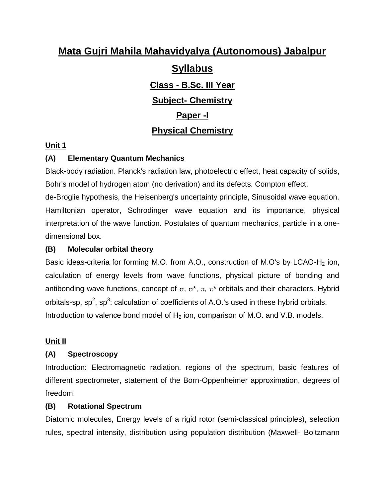# **Syllabus**

# **Class - B.Sc. III Year Subject- Chemistry Paper -I Physical Chemistry**

#### **Unit 1**

## **(A) Elementary Quantum Mechanics**

Black-body radiation. Planck's radiation law, photoelectric effect, heat capacity of solids, Bohr's model of hydrogen atom (no derivation) and its defects. Compton effect. de-Broglie hypothesis, the Heisenberg's uncertainty principle, Sinusoidal wave equation. Hamiltonian operator, Schrodinger wave equation and its importance, physical interpretation of the wave function. Postulates of quantum mechanics, particle in a onedimensional box.

#### **(B) Molecular orbital theory**

Basic ideas-criteria for forming M.O. from A.O., construction of M.O's by LCAO-H<sub>2</sub> ion, calculation of energy levels from wave functions, physical picture of bonding and antibonding wave functions, concept of  $\sigma$ ,  $\sigma^*$ ,  $\pi$ ,  $\pi^*$  orbitals and their characters. Hybrid orbitals-sp, sp<sup>2</sup>, sp<sup>3</sup>: calculation of coefficients of A.O.'s used in these hybrid orbitals. Introduction to valence bond model of  $H_2$  ion, comparison of M.O. and V.B. models.

#### **Unit II**

### **(A) Spectroscopy**

Introduction: Electromagnetic radiation. regions of the spectrum, basic features of different spectrometer, statement of the Born-Oppenheimer approximation, degrees of freedom.

#### **(B) Rotational Spectrum**

Diatomic molecules, Energy levels of a rigid rotor (semi-classical principles), selection rules, spectral intensity, distribution using population distribution (Maxwell- Boltzmann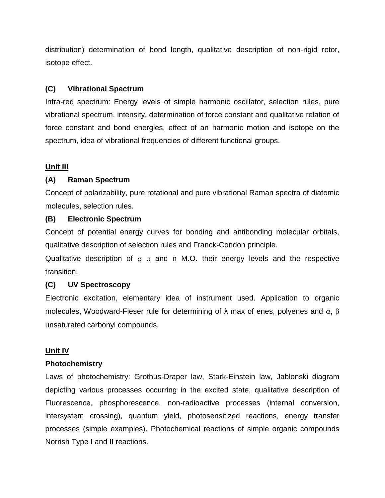distribution) determination of bond length, qualitative description of non-rigid rotor, isotope effect.

#### **(C) Vibrational Spectrum**

Infra-red spectrum: Energy levels of simple harmonic oscillator, selection rules, pure vibrational spectrum, intensity, determination of force constant and qualitative relation of force constant and bond energies, effect of an harmonic motion and isotope on the spectrum, idea of vibrational frequencies of different functional groups.

#### **Unit III**

#### **(A) Raman Spectrum**

Concept of polarizability, pure rotational and pure vibrational Raman spectra of diatomic molecules, selection rules.

#### **(B) Electronic Spectrum**

Concept of potential energy curves for bonding and antibonding molecular orbitals, qualitative description of selection rules and Franck-Condon principle.

Qualitative description of  $\sigma \pi$  and n M.O. their energy levels and the respective transition.

#### **(C) UV Spectroscopy**

Electronic excitation, elementary idea of instrument used. Application to organic molecules, Woodward-Fieser rule for determining of  $\lambda$  max of enes, polyenes and  $\alpha$ ,  $\beta$ unsaturated carbonyl compounds.

#### **Unit IV**

#### **Photochemistry**

Laws of photochemistry: Grothus-Draper law, Stark-Einstein law, Jablonski diagram depicting various processes occurring in the excited state, qualitative description of Fluorescence, phosphorescence, non-radioactive processes (internal conversion, intersystem crossing), quantum yield, photosensitized reactions, energy transfer processes (simple examples). Photochemical reactions of simple organic compounds Norrish Type I and II reactions.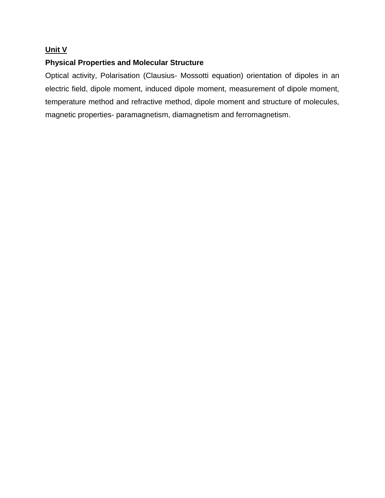#### **Unit V**

#### **Physical Properties and Molecular Structure**

Optical activity, Polarisation (Clausius- Mossotti equation) orientation of dipoles in an electric field, dipole moment, induced dipole moment, measurement of dipole moment, temperature method and refractive method, dipole moment and structure of molecules, magnetic properties- paramagnetism, diamagnetism and ferromagnetism.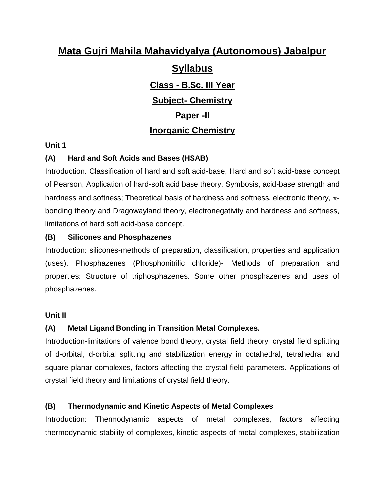# **Syllabus**

# **Class - B.Sc. III Year Subject- Chemistry Paper -II Inorganic Chemistry**

#### **Unit 1**

# **(A) Hard and Soft Acids and Bases (HSAB)**

Introduction. Classification of hard and soft acid-base, Hard and soft acid-base concept of Pearson, Application of hard-soft acid base theory, Symbosis, acid-base strength and hardness and softness; Theoretical basis of hardness and softness, electronic theory,  $\pi$ bonding theory and Dragowayland theory, electronegativity and hardness and softness, limitations of hard soft acid-base concept.

#### **(B) Silicones and Phosphazenes**

Introduction: silicones-methods of preparation, classification, properties and application (uses). Phosphazenes (Phosphonitrilic chloride)- Methods of preparation and properties: Structure of triphosphazenes. Some other phosphazenes and uses of phosphazenes.

#### **Unit II**

### **(A) Metal Ligand Bonding in Transition Metal Complexes.**

Introduction-limitations of valence bond theory, crystal field theory, crystal field splitting of d-orbital, d-orbital splitting and stabilization energy in octahedral, tetrahedral and square planar complexes, factors affecting the crystal field parameters. Applications of crystal field theory and limitations of crystal field theory.

### **(B) Thermodynamic and Kinetic Aspects of Metal Complexes**

Introduction: Thermodynamic aspects of metal complexes, factors affecting thermodynamic stability of complexes, kinetic aspects of metal complexes, stabilization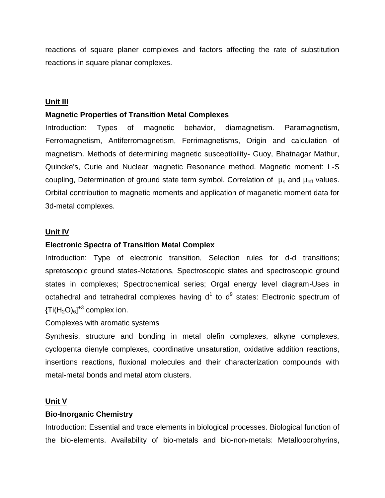reactions of square planer complexes and factors affecting the rate of substitution reactions in square planar complexes.

#### **Unit III**

#### **Magnetic Properties of Transition Metal Complexes**

Introduction: Types of magnetic behavior, diamagnetism. Paramagnetism, Ferromagnetism, Antiferromagnetism, Ferrimagnetisms, Origin and calculation of magnetism. Methods of determining magnetic susceptibility- Guoy, Bhatnagar Mathur, Quincke's, Curie and Nuclear magnetic Resonance method. Magnetic moment: L-S coupling, Determination of ground state term symbol. Correlation of  $\mu_s$  and  $\mu_{\text{eff}}$  values. Orbital contribution to magnetic moments and application of maganetic moment data for 3d-metal complexes.

#### **Unit IV**

#### **Electronic Spectra of Transition Metal Complex**

Introduction: Type of electronic transition, Selection rules for d-d transitions; spretoscopic ground states-Notations, Spectroscopic states and spectroscopic ground states in complexes; Spectrochemical series; Orgal energy level diagram-Uses in octahedral and tetrahedral complexes having  $d^1$  to  $d^9$  states: Electronic spectrum of  ${T}$ i(H<sub>2</sub>O)<sub>6</sub>]<sup>+3</sup> complex ion.

#### Complexes with aromatic systems

Synthesis, structure and bonding in metal olefin complexes, alkyne complexes, cyclopenta dienyle complexes, coordinative unsaturation, oxidative addition reactions, insertions reactions, fluxional molecules and their characterization compounds with metal-metal bonds and metal atom clusters.

#### **Unit V**

#### **Bio-Inorganic Chemistry**

Introduction: Essential and trace elements in biological processes. Biological function of the bio-elements. Availability of bio-metals and bio-non-metals: Metalloporphyrins,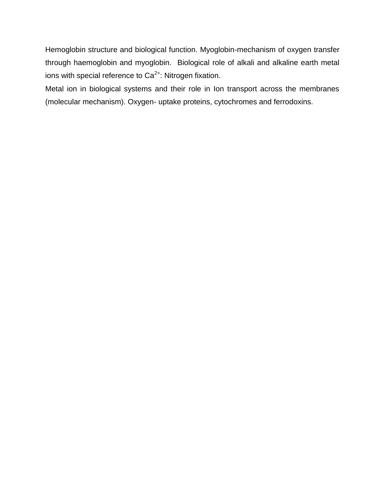Hemoglobin structure and biological function. Myoglobin-mechanism of oxygen transfer through haemoglobin and myoglobin. Biological role of alkali and alkaline earth metal ions with special reference to  $Ca<sup>2+</sup>$ : Nitrogen fixation.

Metal ion in biological systems and their role in Ion transport across the membranes (molecular mechanism). Oxygen- uptake proteins, cytochromes and ferrodoxins.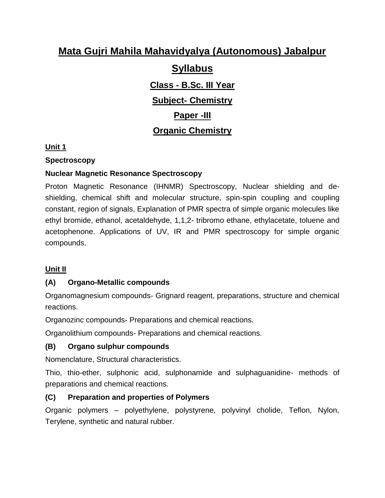# **Syllabus**

# **Class - B.Sc. III Year Subject- Chemistry Paper -III Organic Chemistry**

## **Unit 1**

## **Spectroscopy**

# **Nuclear Magnetic Resonance Spectroscopy**

Proton Magnetic Resonance (IHNMR) Spectroscopy, Nuclear shielding and deshielding, chemical shift and molecular structure, spin-spin coupling and coupling constant, region of signals, Explanation of PMR spectra of simple organic molecules like ethyl bromide, ethanol, acetaldehyde, 1,1,2- tribromo ethane, ethylacetate, toluene and acetophenone. Applications of UV, IR and PMR spectroscopy for simple organic compounds.

# **Unit II**

# **(A) Organo-Metallic compounds**

Organomagnesium compounds- Grignard reagent, preparations, structure and chemical reactions.

Organozinc compounds- Preparations and chemical reactions.

Organolithium compounds- Preparations and chemical reactions.

# **(B) Organo sulphur compounds**

Nomenclature, Structural characteristics.

Thio, thio-ether, sulphonic acid, sulphonamide and sulphaguanidine- methods of preparations and chemical reactions.

# **(C) Preparation and properties of Polymers**

Organic polymers – polyethylene, polystyrene, polyvinyl cholide, Teflon, Nylon, Terylene, synthetic and natural rubber.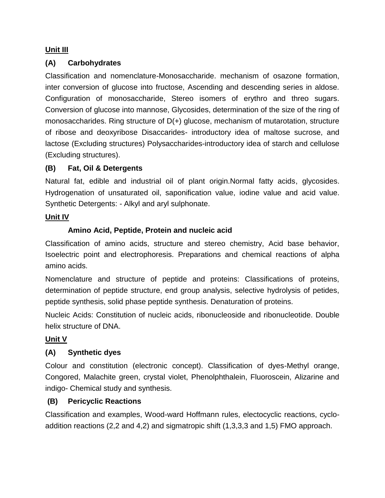#### **Unit III**

### **(A) Carbohydrates**

Classification and nomenclature-Monosaccharide. mechanism of osazone formation, inter conversion of glucose into fructose, Ascending and descending series in aldose. Configuration of monosaccharide, Stereo isomers of erythro and threo sugars. Conversion of glucose into mannose, Glycosides, determination of the size of the ring of monosaccharides. Ring structure of D(+) glucose, mechanism of mutarotation, structure of ribose and deoxyribose Disaccarides- introductory idea of maltose sucrose, and lactose (Excluding structures) Polysaccharides-introductory idea of starch and cellulose (Excluding structures).

### **(B) Fat, Oil & Detergents**

Natural fat, edible and industrial oil of plant origin.Normal fatty acids, glycosides. Hydrogenation of unsaturated oil, saponification value, iodine value and acid value. Synthetic Detergents: - Alkyl and aryl sulphonate.

#### **Unit IV**

### **Amino Acid, Peptide, Protein and nucleic acid**

Classification of amino acids, structure and stereo chemistry, Acid base behavior, Isoelectric point and electrophoresis. Preparations and chemical reactions of alpha amino acids.

Nomenclature and structure of peptide and proteins: Classifications of proteins, determination of peptide structure, end group analysis, selective hydrolysis of petides, peptide synthesis, solid phase peptide synthesis. Denaturation of proteins.

Nucleic Acids: Constitution of nucleic acids, ribonucleoside and ribonucleotide. Double helix structure of DNA.

### **Unit V**

# **(A) Synthetic dyes**

Colour and constitution (electronic concept). Classification of dyes-Methyl orange, Congored, Malachite green, crystal violet, Phenolphthalein, Fluoroscein, Alizarine and indigo- Chemical study and synthesis.

### **(B) Pericyclic Reactions**

Classification and examples, Wood-ward Hoffmann rules, electocyclic reactions, cycloaddition reactions (2,2 and 4,2) and sigmatropic shift (1,3,3,3 and 1,5) FMO approach.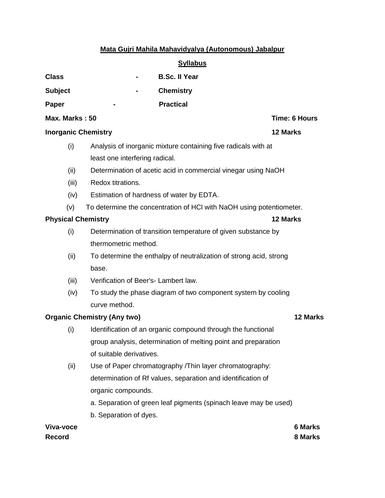|                                       | <b>Syllabus</b>                                                      |               |
|---------------------------------------|----------------------------------------------------------------------|---------------|
| <b>Class</b>                          | <b>B.Sc. II Year</b>                                                 |               |
| <b>Subject</b>                        | <b>Chemistry</b>                                                     |               |
| Paper                                 | <b>Practical</b>                                                     |               |
| Max. Marks: 50                        |                                                                      | Time: 6 Hours |
| <b>Inorganic Chemistry</b>            |                                                                      | 12 Marks      |
| (i)                                   | Analysis of inorganic mixture containing five radicals with at       |               |
|                                       | least one interfering radical.                                       |               |
| (ii)                                  | Determination of acetic acid in commercial vinegar using NaOH        |               |
| (iii)                                 | Redox titrations.                                                    |               |
| (iv)                                  | Estimation of hardness of water by EDTA.                             |               |
| (v)                                   | To determine the concentration of HCI with NaOH using potentiometer. |               |
| <b>Physical Chemistry</b><br>12 Marks |                                                                      |               |
| (i)                                   | Determination of transition temperature of given substance by        |               |
|                                       | thermometric method.                                                 |               |
| (ii)                                  | To determine the enthalpy of neutralization of strong acid, strong   |               |
|                                       | base.                                                                |               |
| (iii)                                 | Verification of Beer's- Lambert law.                                 |               |
| (iv)                                  | To study the phase diagram of two component system by cooling        |               |
|                                       | curve method.                                                        |               |
|                                       | <b>Organic Chemistry (Any two)</b>                                   | 12 Marks      |
| (i)                                   | Identification of an organic compound through the functional         |               |
|                                       | group analysis, determination of melting point and preparation       |               |
|                                       | of suitable derivatives.                                             |               |
| (ii)                                  | Use of Paper chromatography /Thin layer chromatography:              |               |
|                                       | determination of Rf values, separation and identification of         |               |
|                                       | organic compounds.                                                   |               |
|                                       | a. Separation of green leaf pigments (spinach leave may be used)     |               |
|                                       | b. Separation of dyes.                                               |               |
| Viva-voce                             |                                                                      | 6 Marks       |

**Record 8 Marks**